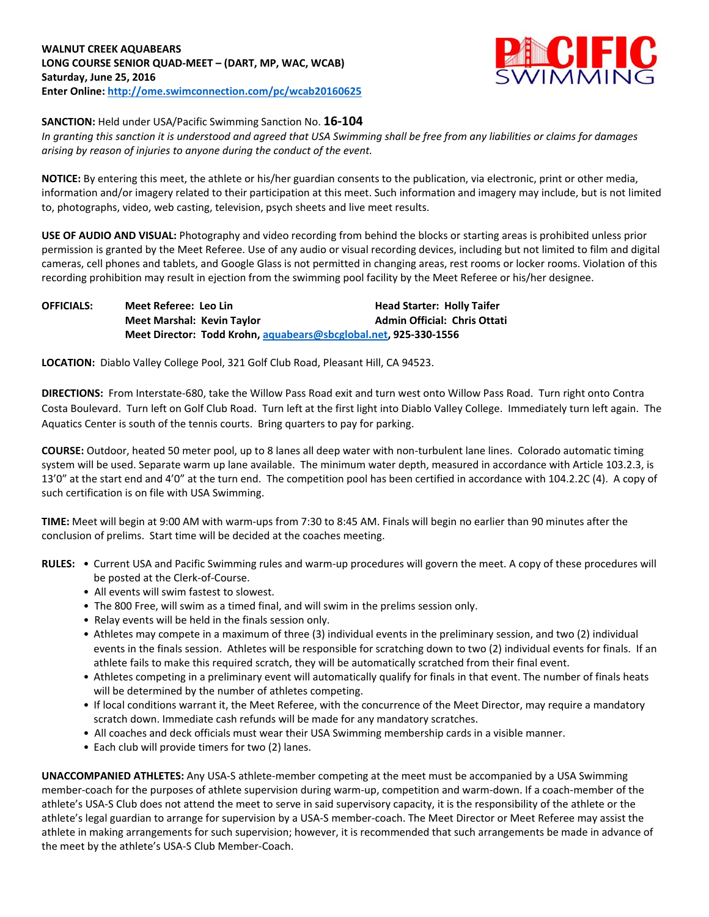

**SANCTION:** Held under USA/Pacific Swimming Sanction No. **16-104**

*In granting this sanction it is understood and agreed that USA Swimming shall be free from any liabilities or claims for damages arising by reason of injuries to anyone during the conduct of the event.* 

**NOTICE:** By entering this meet, the athlete or his/her guardian consents to the publication, via electronic, print or other media, information and/or imagery related to their participation at this meet. Such information and imagery may include, but is not limited to, photographs, video, web casting, television, psych sheets and live meet results.

**USE OF AUDIO AND VISUAL:** Photography and video recording from behind the blocks or starting areas is prohibited unless prior permission is granted by the Meet Referee. Use of any audio or visual recording devices, including but not limited to film and digital cameras, cell phones and tablets, and Google Glass is not permitted in changing areas, rest rooms or locker rooms. Violation of this recording prohibition may result in ejection from the swimming pool facility by the Meet Referee or his/her designee.

**OFFICIALS: Meet Referee: Leo Lin Head Starter: Holly Taifer Meet Marshal: Kevin Taylor Admin Official: Chris Ottati Meet Director: Todd Krohn, [aquabears@sbcglobal.net,](mailto:aquabears@sbcglobal.net) 925-330-1556**

**LOCATION:** Diablo Valley College Pool, 321 Golf Club Road, Pleasant Hill, CA 94523.

**DIRECTIONS:** From Interstate-680, take the Willow Pass Road exit and turn west onto Willow Pass Road. Turn right onto Contra Costa Boulevard. Turn left on Golf Club Road. Turn left at the first light into Diablo Valley College. Immediately turn left again. The Aquatics Center is south of the tennis courts. Bring quarters to pay for parking.

**COURSE:** Outdoor, heated 50 meter pool, up to 8 lanes all deep water with non-turbulent lane lines. Colorado automatic timing system will be used. Separate warm up lane available. The minimum water depth, measured in accordance with Article 103.2.3, is 13'0" at the start end and 4'0" at the turn end. The competition pool has been certified in accordance with 104.2.2C (4). A copy of such certification is on file with USA Swimming.

**TIME:** Meet will begin at 9:00 AM with warm-ups from 7:30 to 8:45 AM. Finals will begin no earlier than 90 minutes after the conclusion of prelims. Start time will be decided at the coaches meeting.

- **RULES:** Current USA and Pacific Swimming rules and warm-up procedures will govern the meet. A copy of these procedures will be posted at the Clerk-of-Course.
	- All events will swim fastest to slowest.
	- The 800 Free, will swim as a timed final, and will swim in the prelims session only.
	- Relay events will be held in the finals session only.
	- Athletes may compete in a maximum of three (3) individual events in the preliminary session, and two (2) individual events in the finals session. Athletes will be responsible for scratching down to two (2) individual events for finals. If an athlete fails to make this required scratch, they will be automatically scratched from their final event.
	- Athletes competing in a preliminary event will automatically qualify for finals in that event. The number of finals heats will be determined by the number of athletes competing.
	- If local conditions warrant it, the Meet Referee, with the concurrence of the Meet Director, may require a mandatory scratch down. Immediate cash refunds will be made for any mandatory scratches.
	- All coaches and deck officials must wear their USA Swimming membership cards in a visible manner.
	- Each club will provide timers for two (2) lanes.

**UNACCOMPANIED ATHLETES:** Any USA-S athlete-member competing at the meet must be accompanied by a USA Swimming member-coach for the purposes of athlete supervision during warm-up, competition and warm-down. If a coach-member of the athlete's USA-S Club does not attend the meet to serve in said supervisory capacity, it is the responsibility of the athlete or the athlete's legal guardian to arrange for supervision by a USA-S member-coach. The Meet Director or Meet Referee may assist the athlete in making arrangements for such supervision; however, it is recommended that such arrangements be made in advance of the meet by the athlete's USA-S Club Member-Coach.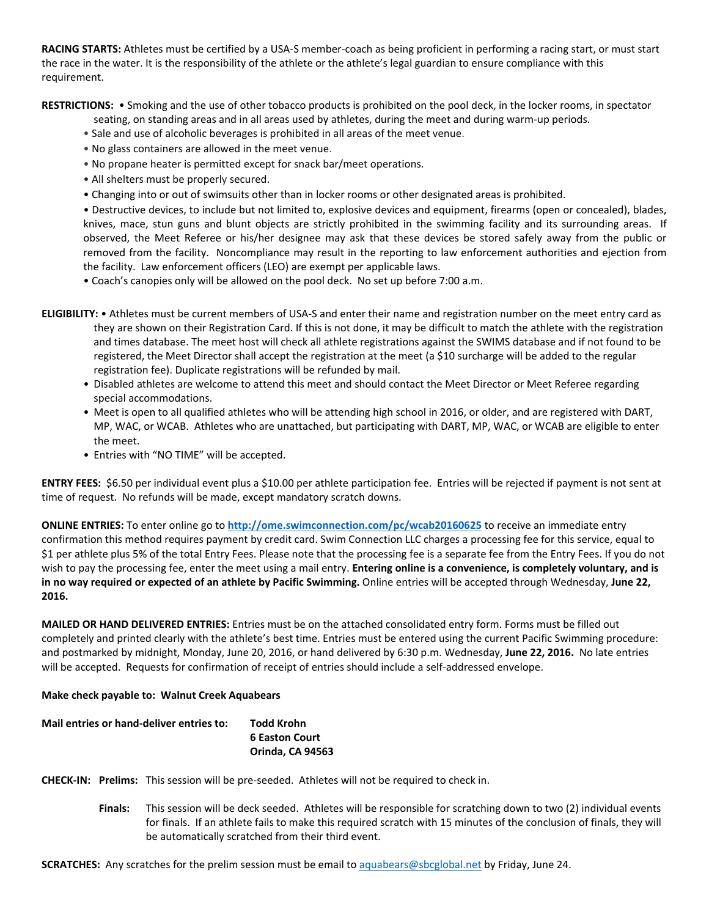**RACING STARTS:** Athletes must be certified by a USA-S member-coach as being proficient in performing a racing start, or must start the race in the water. It is the responsibility of the athlete or the athlete's legal guardian to ensure compliance with this requirement.

**RESTRICTIONS:** • Smoking and the use of other tobacco products is prohibited on the pool deck, in the locker rooms, in spectator

- seating, on standing areas and in all areas used by athletes, during the meet and during warm-up periods.
- Sale and use of alcoholic beverages is prohibited in all areas of the meet venue.
- No glass containers are allowed in the meet venue.
- No propane heater is permitted except for snack bar/meet operations.
- All shelters must be properly secured.
- Changing into or out of swimsuits other than in locker rooms or other designated areas is prohibited.

• Destructive devices, to include but not limited to, explosive devices and equipment, firearms (open or concealed), blades, knives, mace, stun guns and blunt objects are strictly prohibited in the swimming facility and its surrounding areas. If observed, the Meet Referee or his/her designee may ask that these devices be stored safely away from the public or removed from the facility. Noncompliance may result in the reporting to law enforcement authorities and ejection from the facility. Law enforcement officers (LEO) are exempt per applicable laws.

• Coach's canopies only will be allowed on the pool deck. No set up before 7:00 a.m.

- **ELIGIBILITY:**  Athletes must be current members of USA-S and enter their name and registration number on the meet entry card as they are shown on their Registration Card. If this is not done, it may be difficult to match the athlete with the registration and times database. The meet host will check all athlete registrations against the SWIMS database and if not found to be registered, the Meet Director shall accept the registration at the meet (a \$10 surcharge will be added to the regular registration fee). Duplicate registrations will be refunded by mail.
	- Disabled athletes are welcome to attend this meet and should contact the Meet Director or Meet Referee regarding special accommodations.
	- Meet is open to all qualified athletes who will be attending high school in 2016, or older, and are registered with DART, MP, WAC, or WCAB. Athletes who are unattached, but participating with DART, MP, WAC, or WCAB are eligible to enter the meet.
	- Entries with "NO TIME" will be accepted.

**ENTRY FEES:** \$6.50 per individual event plus a \$10.00 per athlete participation fee. Entries will be rejected if payment is not sent at time of request. No refunds will be made, except mandatory scratch downs.

**ONLINE ENTRIES:** To enter online go to **<http://ome.swimconnection.com/pc/wcab20160625>** to receive an immediate entry confirmation this method requires payment by credit card. Swim Connection LLC charges a processing fee for this service, equal to \$1 per athlete plus 5% of the total Entry Fees. Please note that the processing fee is a separate fee from the Entry Fees. If you do not wish to pay the processing fee, enter the meet using a mail entry. **Entering online is a convenience, is completely voluntary, and is in no way required or expected of an athlete by Pacific Swimming.** Online entries will be accepted through Wednesday, **June 22, 2016.** 

**MAILED OR HAND DELIVERED ENTRIES:** Entries must be on the attached consolidated entry form. Forms must be filled out completely and printed clearly with the athlete's best time. Entries must be entered using the current Pacific Swimming procedure: and postmarked by midnight, Monday, June 20, 2016, or hand delivered by 6:30 p.m. Wednesday, **June 22, 2016.** No late entries will be accepted. Requests for confirmation of receipt of entries should include a self-addressed envelope.

## **Make check payable to: Walnut Creek Aquabears**

| Mail entries or hand-deliver entries to: | <b>Todd Krohn</b>       |
|------------------------------------------|-------------------------|
|                                          | <b>6 Easton Court</b>   |
|                                          | <b>Orinda, CA 94563</b> |

**CHECK-IN: Prelims:** This session will be pre-seeded. Athletes will not be required to check in.

**Finals:** This session will be deck seeded. Athletes will be responsible for scratching down to two (2) individual events for finals. If an athlete fails to make this required scratch with 15 minutes of the conclusion of finals, they will be automatically scratched from their third event.

**SCRATCHES:** Any scratches for the prelim session must be email t[o aquabears@sbcglobal.net](mailto:aquabears@sbcglobal.net) by Friday, June 24.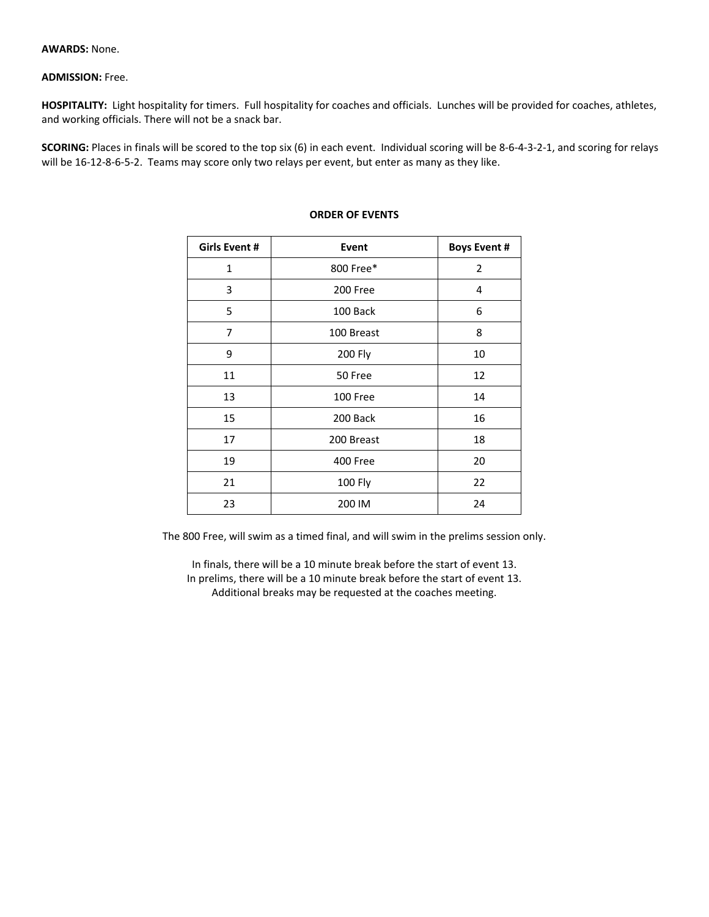## **ADMISSION:** Free.

**HOSPITALITY:** Light hospitality for timers. Full hospitality for coaches and officials. Lunches will be provided for coaches, athletes, and working officials. There will not be a snack bar.

**SCORING:** Places in finals will be scored to the top six (6) in each event. Individual scoring will be 8-6-4-3-2-1, and scoring for relays will be 16-12-8-6-5-2. Teams may score only two relays per event, but enter as many as they like.

| Girls Event # | Event          | <b>Boys Event #</b> |  |  |  |
|---------------|----------------|---------------------|--|--|--|
| $\mathbf{1}$  | 800 Free*      | $\overline{2}$      |  |  |  |
| 3             | 200 Free       | 4                   |  |  |  |
| 5             | 100 Back       | 6                   |  |  |  |
| 7             | 100 Breast     | 8                   |  |  |  |
| 9             | 200 Fly        | 10                  |  |  |  |
| 11            | 50 Free        | 12                  |  |  |  |
| 13            | 100 Free       | 14                  |  |  |  |
| 15            | 200 Back       | 16                  |  |  |  |
| 17            | 200 Breast     | 18                  |  |  |  |
| 19            | 400 Free       | 20                  |  |  |  |
| 21            | <b>100 Fly</b> | 22                  |  |  |  |
| 23            | 200 IM         | 24                  |  |  |  |

## **ORDER OF EVENTS**

The 800 Free, will swim as a timed final, and will swim in the prelims session only.

In finals, there will be a 10 minute break before the start of event 13. In prelims, there will be a 10 minute break before the start of event 13. Additional breaks may be requested at the coaches meeting.